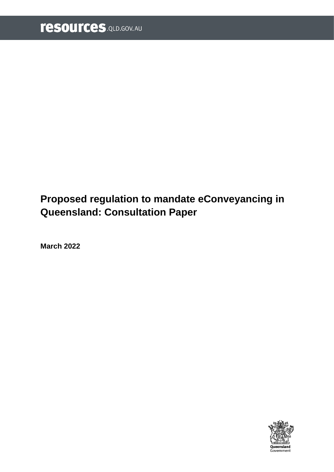# **Proposed regulation to mandate eConveyancing in Queensland: Consultation Paper**

**March 2022**

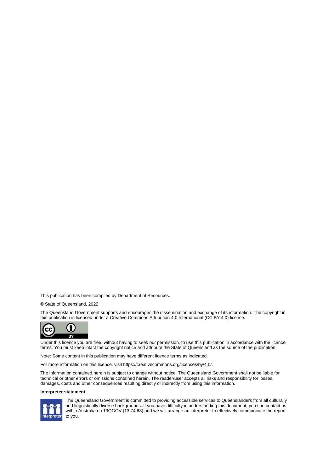This publication has been compiled by Department of Resources.

© State of Queensland, 2022

The Queensland Government supports and encourages the dissemination and exchange of its information. The copyright in this publication is licensed under a Creative Commons Attribution 4.0 International (CC BY 4.0) licence.



Under this licence you are free, without having to seek our permission, to use this publication in accordance with the licence terms. You must keep intact the copyright notice and attribute the State of Queensland as the source of the publication.

Note: Some content in this publication may have different licence terms as indicated.

For more information on this licence, visit https://creativecommons.org/licenses/by/4.0/.

The information contained herein is subject to change without notice. The Queensland Government shall not be liable for technical or other errors or omissions contained herein. The reader/user accepts all risks and responsibility for losses, damages, costs and other consequences resulting directly or indirectly from using this information.

#### **Interpreter statement**:



The Queensland Government is committed to providing accessible services to Queenslanders from all culturally and linguistically diverse backgrounds. If you have difficulty in understanding this document, you can contact us within Australia on 13QGOV (13 74 68) and we will arrange an interpreter to effectively communicate the report to you.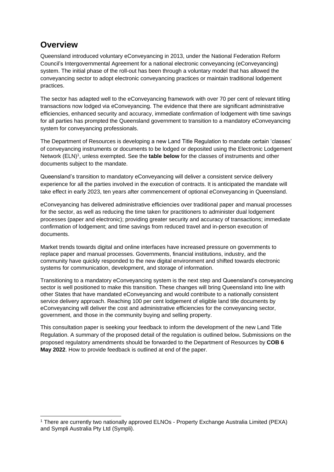# **Overview**

Queensland introduced voluntary eConveyancing in 2013, under the National Federation Reform Council's Intergovernmental Agreement for a national electronic conveyancing (eConveyancing) system. The initial phase of the roll-out has been through a voluntary model that has allowed the conveyancing sector to adopt electronic conveyancing practices or maintain traditional lodgement practices.

The sector has adapted well to the eConveyancing framework with over 70 per cent of relevant titling transactions now lodged via eConveyancing. The evidence that there are significant administrative efficiencies, enhanced security and accuracy, immediate confirmation of lodgement with time savings for all parties has prompted the Queensland government to transition to a mandatory eConveyancing system for conveyancing professionals.

The Department of Resources is developing a new Land Title Regulation to mandate certain 'classes' of conveyancing instruments or documents to be lodged or deposited using the Electronic Lodgement Network (ELN)<sup>1</sup>, unless exempted. See the **table below** for the classes of instruments and other documents subject to the mandate.

Queensland's transition to mandatory eConveyancing will deliver a consistent service delivery experience for all the parties involved in the execution of contracts. It is anticipated the mandate will take effect in early 2023, ten years after commencement of optional eConveyancing in Queensland.

eConveyancing has delivered administrative efficiencies over traditional paper and manual processes for the sector, as well as reducing the time taken for practitioners to administer dual lodgement processes (paper and electronic); providing greater security and accuracy of transactions; immediate confirmation of lodgement; and time savings from reduced travel and in-person execution of documents.

Market trends towards digital and online interfaces have increased pressure on governments to replace paper and manual processes. Governments, financial institutions, industry, and the community have quickly responded to the new digital environment and shifted towards electronic systems for communication, development, and storage of information.

Transitioning to a mandatory eConveyancing system is the next step and Queensland's conveyancing sector is well positioned to make this transition. These changes will bring Queensland into line with other States that have mandated eConveyancing and would contribute to a nationally consistent service delivery approach. Reaching 100 per cent lodgement of eligible land title documents by eConveyancing will deliver the cost and administrative efficiencies for the conveyancing sector, government, and those in the community buying and selling property.

This consultation paper is seeking your feedback to inform the development of the new Land Title Regulation. A summary of the proposed detail of the regulation is outlined below**.** Submissions on the proposed regulatory amendments should be forwarded to the Department of Resources by **COB 6 May 2022**. How to provide feedback is outlined at end of the paper.

<sup>1</sup> There are currently two nationally approved ELNOs - Property Exchange Australia Limited (PEXA) and Sympli Australia Pty Ltd (Sympli).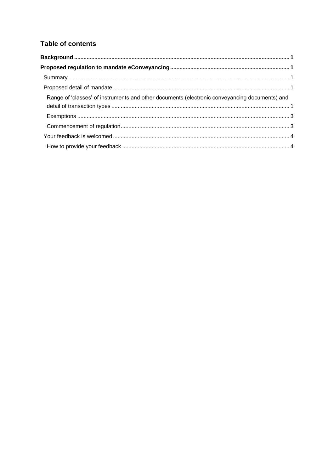### **Table of contents**

| Range of 'classes' of instruments and other documents (electronic conveyancing documents) and |  |
|-----------------------------------------------------------------------------------------------|--|
|                                                                                               |  |
|                                                                                               |  |
|                                                                                               |  |
|                                                                                               |  |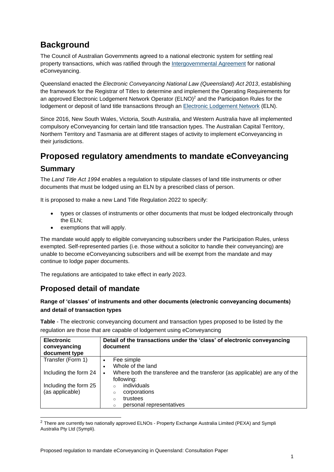# <span id="page-4-0"></span>**Background**

The Council of Australian Governments agreed to a national electronic system for settling real property transactions, which was ratified through the [Intergovernmental Agreement](https://www.arnecc.gov.au/wp-content/uploads/2021/08/IGA_for_an_Electronic_Conveyancing_National_Law.pdf) for national eConveyancing.

Queensland enacted the *Electronic Conveyancing National Law (Queensland) Act 2013*, establishing the framework for the Registrar of Titles to determine and implement the Operating Requirements for an approved Electronic Lodgement Network Operator (ELNO)<sup>2</sup> and the Participation Rules for the lodgement or deposit of land title transactions through an [Electronic Lodgement Network](https://www.titlesqld.com.au/elodgment-econveyancing/elodgement/#:~:text=eLodgement%20is%20a%20fast%2C%20easy%20and%20secure%20way,access%20receipts%2C%20lodgement%20summaries%20and%20registration%20confirmation%20statements.) (ELN).

Since 2016, New South Wales, Victoria, South Australia, and Western Australia have all implemented compulsory eConveyancing for certain land title transaction types. The Australian Capital Territory, Northern Territory and Tasmania are at different stages of activity to implement eConveyancing in their jurisdictions.

# <span id="page-4-1"></span>**Proposed regulatory amendments to mandate eConveyancing**

#### <span id="page-4-2"></span>**Summary**

The *Land Title Act 1994* enables a regulation to stipulate classes of land title instruments or other documents that must be lodged using an ELN by a prescribed class of person.

It is proposed to make a new Land Title Regulation 2022 to specify:

- types or classes of instruments or other documents that must be lodged electronically through the ELN;
- exemptions that will apply.

The mandate would apply to eligible conveyancing subscribers under the Participation Rules, unless exempted. Self-represented parties (i.e. those without a solicitor to handle their conveyancing) are unable to become eConveyancing subscribers and will be exempt from the mandate and may continue to lodge paper documents.

The regulations are anticipated to take effect in early 2023.

## <span id="page-4-3"></span>**Proposed detail of mandate**

#### <span id="page-4-4"></span>**Range of 'classes' of instruments and other documents (electronic conveyancing documents) and detail of transaction types**

**Table** - The electronic conveyancing document and transaction types proposed to be listed by the regulation are those that are capable of lodgement using eConveyancing

| <b>Electronic</b><br>conveyancing<br>document type | Detail of the transactions under the 'class' of electronic conveyancing<br>document       |
|----------------------------------------------------|-------------------------------------------------------------------------------------------|
| Transfer (Form 1)                                  | Fee simple<br>$\bullet$                                                                   |
|                                                    | Whole of the land<br>٠                                                                    |
| Including the form 24                              | Where both the transferee and the transferor (as applicable) are any of the<br>following: |
| Including the form 25                              | individuals<br>$\Omega$                                                                   |
| (as applicable)                                    | corporations<br>$\circ$                                                                   |
|                                                    | trustees<br>$\circ$                                                                       |
|                                                    | personal representatives<br>$\circ$                                                       |

<sup>2</sup> There are currently two nationally approved ELNOs - Property Exchange Australia Limited (PEXA) and Sympli Australia Pty Ltd (Sympli).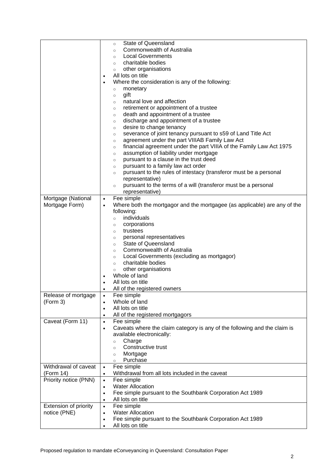|                       | <b>State of Queensland</b><br>$\circ$                                                  |
|-----------------------|----------------------------------------------------------------------------------------|
|                       | <b>Commonwealth of Australia</b><br>$\circ$                                            |
|                       | <b>Local Governments</b><br>$\circ$                                                    |
|                       | charitable bodies<br>$\circ$                                                           |
|                       | other organisations                                                                    |
|                       | $\circ$<br>All lots on title                                                           |
|                       | $\bullet$                                                                              |
|                       | Where the consideration is any of the following:                                       |
|                       | monetary<br>$\circ$                                                                    |
|                       | gift<br>$\circ$                                                                        |
|                       | natural love and affection<br>$\circ$                                                  |
|                       | retirement or appointment of a trustee<br>$\circ$                                      |
|                       | death and appointment of a trustee<br>$\circ$                                          |
|                       | discharge and appointment of a trustee<br>$\circ$                                      |
|                       | desire to change tenancy<br>$\circ$                                                    |
|                       | severance of joint tenancy pursuant to s59 of Land Title Act<br>$\circ$                |
|                       | agreement under the part VIIIAB Family Law Act<br>$\circ$                              |
|                       | financial agreement under the part VIIIA of the Family Law Act 1975<br>$\circ$         |
|                       | assumption of liability under mortgage<br>$\circ$                                      |
|                       | pursuant to a clause in the trust deed<br>$\circ$                                      |
|                       | pursuant to a family law act order                                                     |
|                       | $\circ$<br>pursuant to the rules of intestacy (transferor must be a personal           |
|                       | $\circ$                                                                                |
|                       | representative)                                                                        |
|                       | pursuant to the terms of a will (transferor must be a personal<br>$\circ$              |
|                       | representative)                                                                        |
| Mortgage (National    | Fee simple<br>$\bullet$                                                                |
| Mortgage Form)        | Where both the mortgagor and the mortgagee (as applicable) are any of the<br>$\bullet$ |
|                       | following:                                                                             |
|                       | individuals<br>$\circ$                                                                 |
|                       | corporations<br>$\circ$                                                                |
|                       | trustees<br>$\circ$                                                                    |
|                       | personal representatives<br>$\circ$                                                    |
|                       | <b>State of Queensland</b><br>$\circ$                                                  |
|                       | Commonwealth of Australia<br>$\circ$                                                   |
|                       | Local Governments (excluding as mortgagor)<br>$\circ$                                  |
|                       | charitable bodies<br>$\circ$                                                           |
|                       | other organisations<br>$\circ$                                                         |
|                       | Whole of land<br>$\bullet$                                                             |
|                       | All lots on title                                                                      |
|                       |                                                                                        |
|                       | All of the registered owners                                                           |
| Release of mortgage   | Fee simple<br>$\bullet$                                                                |
| (Form 3)              | Whole of land<br>$\bullet$                                                             |
|                       | All lots on title<br>$\bullet$                                                         |
|                       | All of the registered mortgagors<br>$\bullet$                                          |
| Caveat (Form 11)      | Fee simple<br>$\bullet$                                                                |
|                       | Caveats where the claim category is any of the following and the claim is<br>$\bullet$ |
|                       | available electronically:                                                              |
|                       | Charge<br>$\circ$                                                                      |
|                       | Constructive trust<br>$\circ$                                                          |
|                       | Mortgage<br>$\circ$                                                                    |
|                       | Purchase<br>$\circ$                                                                    |
| Withdrawal of caveat  | Fee simple<br>$\bullet$                                                                |
| (Form 14)             | Withdrawal from all lots included in the caveat<br>$\bullet$                           |
| Priority notice (PNN) | Fee simple<br>$\bullet$                                                                |
|                       | <b>Water Allocation</b><br>$\bullet$                                                   |
|                       |                                                                                        |
|                       | Fee simple pursuant to the Southbank Corporation Act 1989<br>$\bullet$                 |
|                       | All lots on title<br>$\bullet$                                                         |
| Extension of priority | Fee simple<br>$\bullet$                                                                |
| notice (PNE)          | <b>Water Allocation</b><br>$\bullet$                                                   |
|                       | Fee simple pursuant to the Southbank Corporation Act 1989<br>$\bullet$                 |
|                       | All lots on title                                                                      |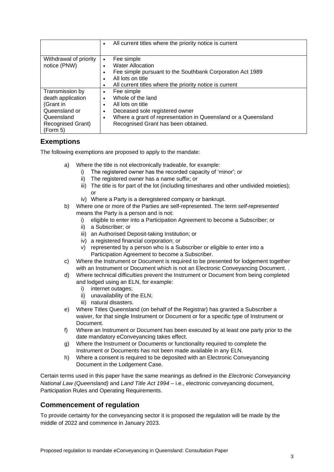|                          | All current titles where the priority notice is current<br>$\bullet$       |
|--------------------------|----------------------------------------------------------------------------|
| Withdrawal of priority   | Fee simple<br>$\bullet$                                                    |
| notice (PNW)             | <b>Water Allocation</b>                                                    |
|                          | Fee simple pursuant to the Southbank Corporation Act 1989                  |
|                          | All lots on title                                                          |
|                          | All current titles where the priority notice is current                    |
| Transmission by          | Fee simple<br>$\bullet$                                                    |
| death application        | Whole of the land<br>$\bullet$                                             |
| (Grant in                | All lots on title                                                          |
| Queensland or            | Deceased sole registered owner<br>$\bullet$                                |
| Queensland               | Where a grant of representation in Queensland or a Queensland<br>$\bullet$ |
| <b>Recognised Grant)</b> | Recognised Grant has been obtained.                                        |
| (Form 5)                 |                                                                            |

#### <span id="page-6-0"></span>**Exemptions**

The following exemptions are proposed to apply to the mandate:

- a) Where the title is not electronically tradeable, for example:
	- i) The registered owner has the recorded capacity of 'minor'; or
	- ii) The registered owner has a name suffix; or
	- iii) The title is for part of the lot (including timeshares and other undivided moieties); or
	- iv) Where a Party is a deregistered company or bankrupt.
- b) Where one or more of the Parties are self-represented. The term *self-represented* means the Party is a person and is not:
	- i) eligible to enter into a Participation Agreement to become a Subscriber; or
	- ii) a Subscriber; or
	- iii) an Authorised Deposit-taking Institution; or
	- iv) a registered financial corporation; or
	- v) represented by a person who is a Subscriber or eligible to enter into a Participation Agreement to become a Subscriber.
- c) Where the Instrument or Document is required to be presented for lodgement together with an Instrument or Document which is not an Electronic Conveyancing Document. .
- d) Where technical difficulties prevent the Instrument or Document from being completed and lodged using an ELN, for example:
	- i) internet outages;
	- ii) unavailability of the ELN;
	- iii) natural disasters.
- e) Where Titles Queensland (on behalf of the Registrar) has granted a Subscriber a waiver, for that single Instrument or Document or for a specific type of Instrument or Document.
- f) Where an Instrument or Document has been executed by at least one party prior to the date mandatory eConveyancing takes effect.
- g) Where the Instrument or Documents or functionality required to complete the Instrument or Documents has not been made available in any ELN.
- h) Where a consent is required to be deposited with an Electronic Conveyancing Document in the Lodgement Case.

Certain terms used in this paper have the same meanings as defined in the *Electronic Conveyancing National Law (Queensland)* and *Land Title Act 1994* – i.e., electronic conveyancing document, Participation Rules and Operating Requirements.

#### <span id="page-6-1"></span>**Commencement of regulation**

To provide certainty for the conveyancing sector it is proposed the regulation will be made by the middle of 2022 and commence in January 2023.